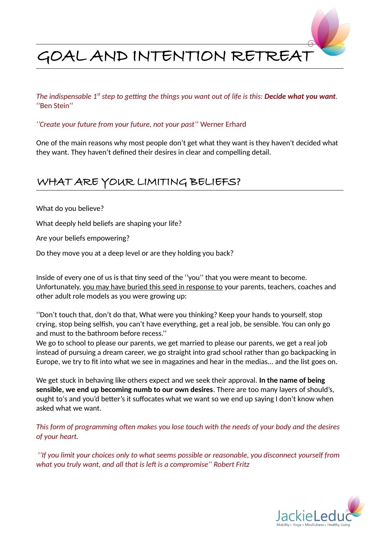

*The indispensable 1<sup>st</sup> step to getting the things you want out of life is this: Decide what you want.* ''Ben Stein''

*''Create your future from your future, not your past'*' Werner Erhard

One of the main reasons why most people don't get what they want is they haven't decided what they want. They haven't defined their desires in clear and compelling detail.

# WHAT ARE YOUR LIMITING BELIEFS?

What do you believe?

What deeply held beliefs are shaping your life?

Are your beliefs empowering?

Do they move you at a deep level or are they holding you back?

Inside of every one of us is that tiny seed of the ''you'' that you were meant to become. Unfortunately, you may have buried this seed in response to your parents, teachers, coaches and other adult role models as you were growing up:

''Don't touch that, don't do that, What were you thinking? Keep your hands to yourself, stop crying, stop being selfish, you can't have everything, get a real job, be sensible. You can only go and must to the bathroom before recess.''

We go to school to please our parents, we get married to please our parents, we get a real job instead of pursuing a dream career, we go straight into grad school rather than go backpacking in Europe, we try to fit into what we see in magazines and hear in the medias... and the list goes on.

We get stuck in behaving like others expect and we seek their approval. **In the name of being sensible, we end up becoming numb to our own desires**. There are too many layers of should's, ought to's and you'd better's it suffocates what we want so we end up saying I don't know when asked what we want.

*This form of programming often makes you lose touch with the needs of your body and the desires of your heart.*

 '*'If you limit your choices only to what seems possible or reasonable, you disconnect yourself from what you truly want, and all that is left is a compromise'' Robert Fritz*

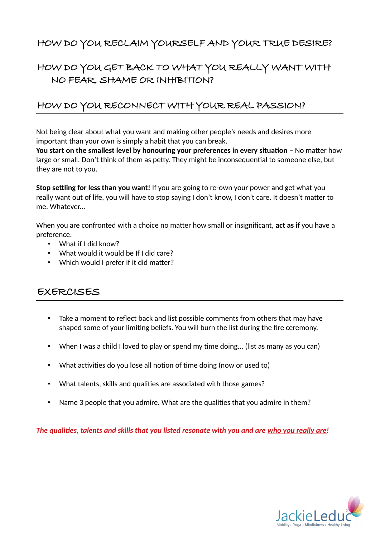### HOW DO YOU RECLAIM YOURSELF AND YOUR TRUE DESIRE?

### HOW DO YOU GET BACK TO WHAT YOU REALLY WANT WITH NO FEAR, SHAME OR INHIBITION?

### HOW DO YOU RECONNECT WITH YOUR REAL PASSION?

Not being clear about what you want and making other people's needs and desires more important than your own is simply a habit that you can break.

You start on the smallest level by honouring your preferences in every situation - No matter how large or small. Don't think of them as petty. They might be inconsequential to someone else, but they are not to you.

**Stop settling for less than you want!** If you are going to re-own your power and get what you really want out of life, you will have to stop saying I don't know, I don't care. It doesn't matter to me. Whatever...

When you are confronted with a choice no matter how small or insignificant, **act as if** you have a preference.

- What if I did know?
- What would it would be If I did care?
- Which would I prefer if it did matter?

### EXERCISES

- Take a moment to reflect back and list possible comments from others that may have shaped some of your limiting beliefs. You will burn the list during the fire ceremony.
- When I was a child I loved to play or spend my time doing... (list as many as you can)
- What activities do you lose all notion of time doing (now or used to)
- What talents, skills and qualities are associated with those games?
- Name 3 people that you admire. What are the qualities that you admire in them?

*The qualities, talents and skills that you listed resonate with you and are who you really are!*

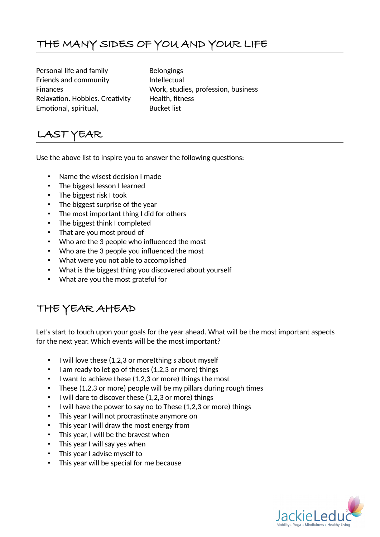# THE MANY SIDES OF YOU AND YOUR LIFE

Personal life and family Belongings Friends and community The Intellectual Relaxation. Hobbies. Creativity Health, fitness Emotional, spiritual, and a Bucket list

Finances Work, studies, profession, business

# LAST YEAR

Use the above list to inspire you to answer the following questions:

- Name the wisest decision I made
- The biggest lesson I learned
- The biggest risk I took
- The biggest surprise of the year
- The most important thing I did for others
- The biggest think I completed
- That are you most proud of
- Who are the 3 people who influenced the most
- Who are the 3 people you influenced the most
- What were you not able to accomplished
- What is the biggest thing you discovered about yourself
- What are you the most grateful for

## THE YEAR AHEAD

Let's start to touch upon your goals for the year ahead. What will be the most important aspects for the next year. Which events will be the most important?

- I will love these (1,2,3 or more)thing s about myself
- I am ready to let go of theses (1,2,3 or more) things
- I want to achieve these (1,2,3 or more) things the most
- These (1,2,3 or more) people will be my pillars during rough times
- I will dare to discover these (1,2,3 or more) things
- I will have the power to say no to These (1,2,3 or more) things
- This year I will not procrastinate anymore on
- This year I will draw the most energy from
- This year, I will be the bravest when
- This year I will say yes when
- This year I advise myself to
- This year will be special for me because

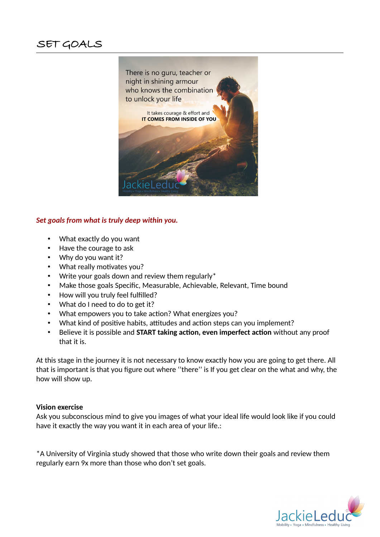

#### *Set goals from what is truly deep within you.*

- What exactly do you want
- Have the courage to ask
- Why do you want it?
- What really motivates you?
- Write your goals down and review them regularly\*
- Make those goals Specific, Measurable, Achievable, Relevant, Time bound
- How will you truly feel fulfilled?
- What do I need to do to get it?
- What empowers you to take action? What energizes you?
- What kind of positive habits, attitudes and action steps can you implement?
- Believe it is possible and **START taking action, even imperfect action** without any proof that it is.

At this stage in the journey it is not necessary to know exactly how you are going to get there. All that is important is that you figure out where ''there'' is If you get clear on the what and why, the how will show up.

#### **Vision exercise**

Ask you subconscious mind to give you images of what your ideal life would look like if you could have it exactly the way you want it in each area of your life.:

\*A University of Virginia study showed that those who write down their goals and review them regularly earn 9x more than those who don't set goals.

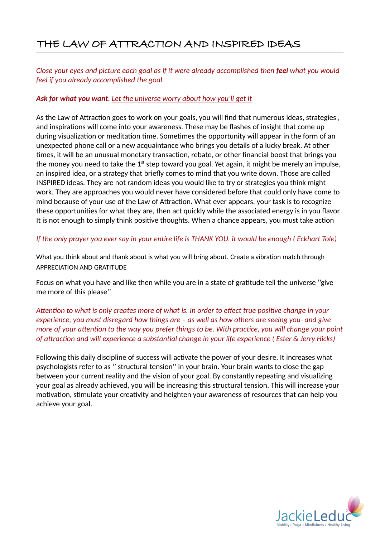## THE LAW OF ATTRACTION AND INSPIRED IDEAS

*Close your eyes and picture each goal as if it were already accomplished then feel what you would feel if you already accomplished the goal.*

#### *Ask for what you want. Let the universe worry about how you'll get it*

As the Law of Attraction goes to work on your goals, you will find that numerous ideas, strategies , and inspirations will come into your awareness. These may be flashes of insight that come up during visualization or meditation time. Sometimes the opportunity will appear in the form of an unexpected phone call or a new acquaintance who brings you details of a lucky break. At other times, it will be an unusual monetary transaction, rebate, or other financial boost that brings you the money you need to take the  $1<sup>st</sup>$  step toward you goal. Yet again, it might be merely an impulse, an inspired idea, or a strategy that briefly comes to mind that you write down. Those are called INSPIRED ideas. They are not random ideas you would like to try or strategies you think might work. They are approaches you would never have considered before that could only have come to mind because of your use of the Law of Attraction. What ever appears, your task is to recognize these opportunities for what they are, then act quickly while the associated energy is in you flavor. It is not enough to simply think positive thoughts. When a chance appears, you must take action

*If the only prayer you ever say in your entire life is THANK YOU, it would be enough ( Eckhart Tole)*

What you think about and thank about is what you will bring about. Create a vibration match through APPRECIATION AND GRATITUDE

Focus on what you have and like then while you are in a state of gratitude tell the universe ''give me more of this please''

*Attention to what is only creates more of what is. In order to effect true positive change in your experience, you must disregard how things are – as well as how others are seeing you- and give more of your attention to the way you prefer things to be. With practice, you will change your point of attraction and will experience a substantial change in your life experience ( Ester & Jerry Hicks)*

Following this daily discipline of success will activate the power of your desire. It increases what psychologists refer to as '' structural tension'' in your brain. Your brain wants to close the gap between your current reality and the vision of your goal. By constantly repeating and visualizing your goal as already achieved, you will be increasing this structural tension. This will increase your motivation, stimulate your creativity and heighten your awareness of resources that can help you achieve your goal.